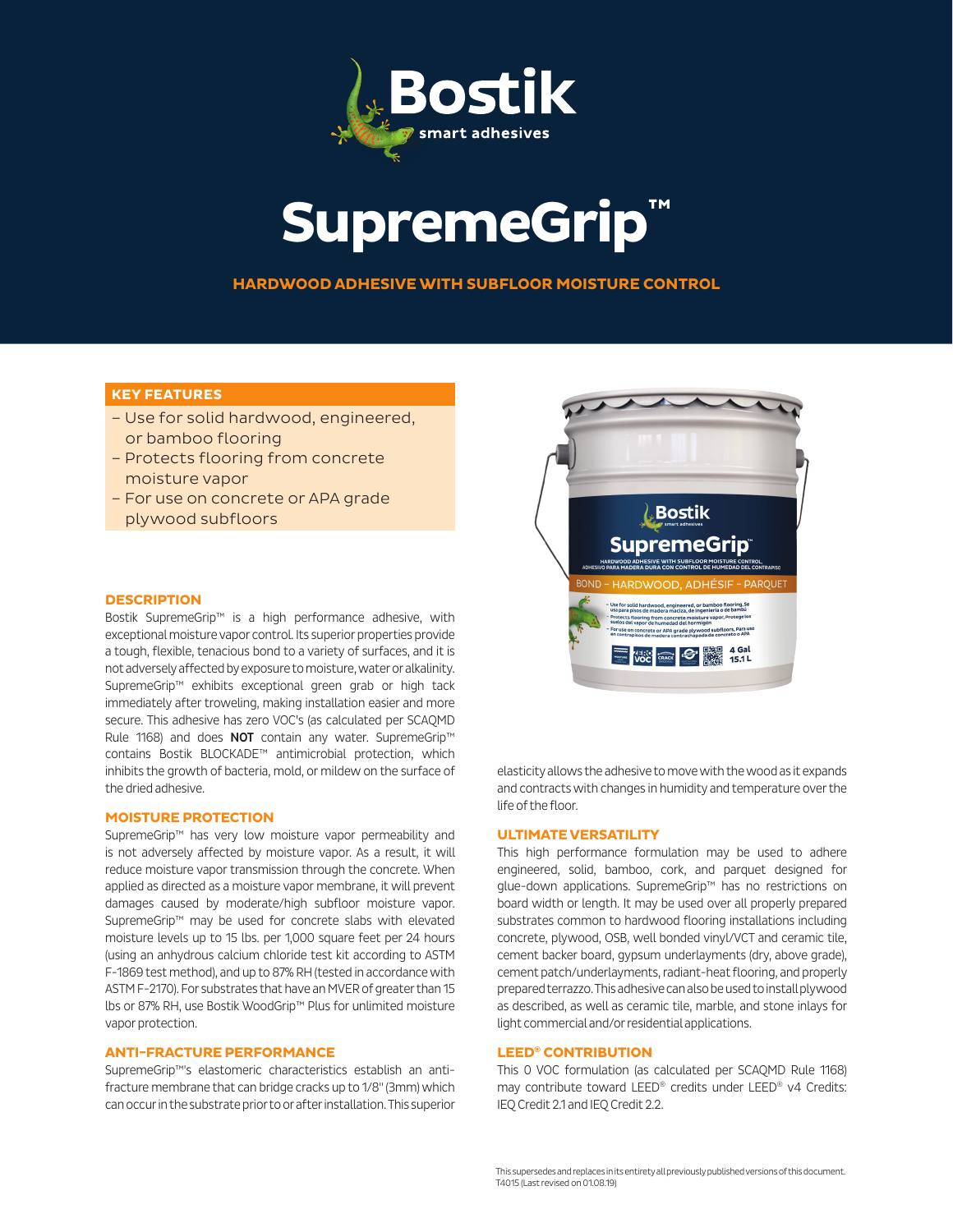

# **SupremeGrip™**

**HARDWOOD ADHESIVE WITH SUBFLOOR MOISTURE CONTROL**

## **KEY FEATURES**

- Use for solid hardwood, engineered, or bamboo flooring
- Protects flooring from concrete moisture vapor
- For use on concrete or APA grade plywood subfloors

#### **DESCRIPTION**

Bostik SupremeGrip™ is a high performance adhesive, with exceptional moisture vapor control. Its superior properties provide a tough, flexible, tenacious bond to a variety of surfaces, and it is not adversely affected by exposure to moisture, water or alkalinity. SupremeGrip™ exhibits exceptional green grab or high tack immediately after troweling, making installation easier and more secure. This adhesive has zero VOC's (as calculated per SCAQMD Rule 1168) and does NOT contain any water. SupremeGrip™ contains Bostik BLOCKADE™ antimicrobial protection, which inhibits the growth of bacteria, mold, or mildew on the surface of the dried adhesive.

#### **MOISTURE PROTECTION**

SupremeGrip™ has very low moisture vapor permeability and is not adversely affected by moisture vapor. As a result, it will reduce moisture vapor transmission through the concrete. When applied as directed as a moisture vapor membrane, it will prevent damages caused by moderate/high subfloor moisture vapor. SupremeGrip™ may be used for concrete slabs with elevated moisture levels up to 15 lbs. per 1,000 square feet per 24 hours (using an anhydrous calcium chloride test kit according to ASTM F-1869 test method), and up to 87% RH (tested in accordance with ASTM F-2170). For substrates that have an MVER of greater than 15 lbs or 87% RH, use Bostik WoodGrip™ Plus for unlimited moisture vapor protection.

## **ANTI-FRACTURE PERFORMANCE**

SupremeGrip™'s elastomeric characteristics establish an antifracture membrane that can bridge cracks up to 1/8" (3mm) which can occur in the substrate prior to or after installation. This superior



elasticity allows the adhesive to move with the wood as it expands and contracts with changes in humidity and temperature over the life of the floor.

#### **ULTIMATE VERSATILITY**

This high performance formulation may be used to adhere engineered, solid, bamboo, cork, and parquet designed for glue-down applications. SupremeGrip™ has no restrictions on board width or length. It may be used over all properly prepared substrates common to hardwood flooring installations including concrete, plywood, OSB, well bonded vinyl/VCT and ceramic tile, cement backer board, gypsum underlayments (dry, above grade), cement patch/underlayments, radiant-heat flooring, and properly prepared terrazzo. This adhesive can also be used to install plywood as described, as well as ceramic tile, marble, and stone inlays for light commercial and/or residential applications.

## **LEED® CONTRIBUTION**

This 0 VOC formulation (as calculated per SCAQMD Rule 1168) may contribute toward LEED® credits under LEED® v4 Credits: IEQ Credit 2.1 and IEQ Credit 2.2.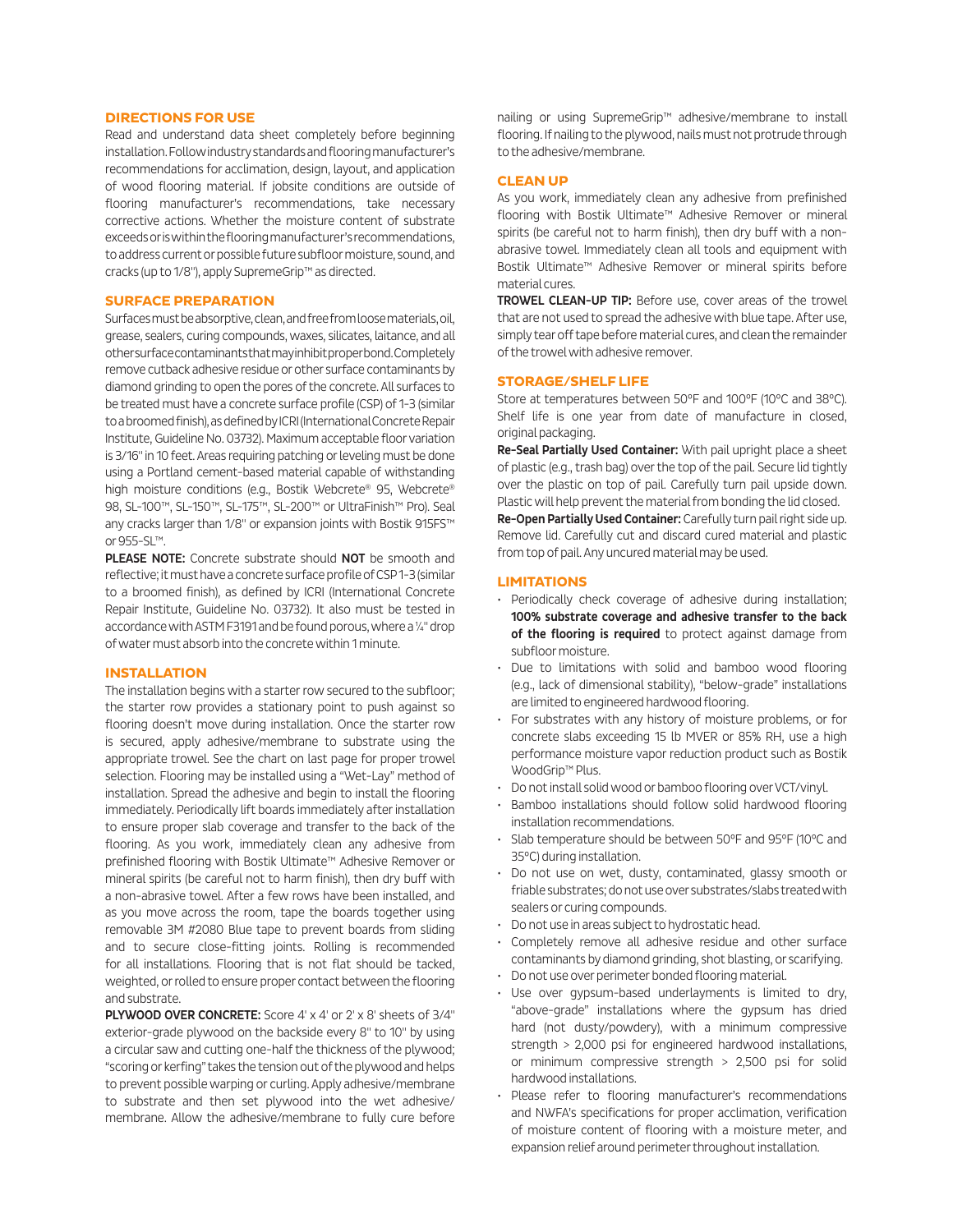#### **DIRECTIONS FOR USE**

Read and understand data sheet completely before beginning installation. Follow industry standards and flooring manufacturer's recommendations for acclimation, design, layout, and application of wood flooring material. If jobsite conditions are outside of flooring manufacturer's recommendations, take necessary corrective actions. Whether the moisture content of substrate exceeds or is within the flooring manufacturer's recommendations, to address current or possible future subfloor moisture, sound, and cracks (up to 1/8"), apply SupremeGrip™ as directed.

## **SURFACE PREPARATION**

Surfaces must be absorptive, clean, and free from loose materials, oil, grease, sealers, curing compounds, waxes, silicates, laitance, and all other surface contaminants that may inhibit proper bond. Completely remove cutback adhesive residue or other surface contaminants by diamond grinding to open the pores of the concrete. All surfaces to be treated must have a concrete surface profile (CSP) of 1-3 (similar to a broomed finish), as defined by ICRI (International Concrete Repair Institute, Guideline No. 03732). Maximum acceptable floor variation is 3/16" in 10 feet. Areas requiring patching or leveling must be done using a Portland cement-based material capable of withstanding high moisture conditions (e.g., Bostik Webcrete® 95, Webcrete® 98, SL-100™, SL-150™, SL-175™, SL-200™ or UltraFinish™ Pro). Seal any cracks larger than 1/8" or expansion joints with Bostik 915FS™ or 955-SL™.

PLEASE NOTE: Concrete substrate should NOT be smooth and reflective; it must have a concrete surface profile of CSP 1-3 (similar to a broomed finish), as defined by ICRI (International Concrete Repair Institute, Guideline No. 03732). It also must be tested in accordance with ASTM F3191 and be found porous, where a ¼" drop of water must absorb into the concrete within 1 minute.

#### **INSTALLATION**

The installation begins with a starter row secured to the subfloor; the starter row provides a stationary point to push against so flooring doesn't move during installation. Once the starter row is secured, apply adhesive/membrane to substrate using the appropriate trowel. See the chart on last page for proper trowel selection. Flooring may be installed using a "Wet-Lay" method of installation. Spread the adhesive and begin to install the flooring immediately. Periodically lift boards immediately after installation to ensure proper slab coverage and transfer to the back of the flooring. As you work, immediately clean any adhesive from prefinished flooring with Bostik Ultimate™ Adhesive Remover or mineral spirits (be careful not to harm finish), then dry buff with a non-abrasive towel. After a few rows have been installed, and as you move across the room, tape the boards together using removable 3M #2080 Blue tape to prevent boards from sliding and to secure close-fitting joints. Rolling is recommended for all installations. Flooring that is not flat should be tacked, weighted, or rolled to ensure proper contact between the flooring and substrate.

PLYWOOD OVER CONCRETE: Score 4' x 4' or 2' x 8' sheets of 3/4" exterior-grade plywood on the backside every 8" to 10" by using a circular saw and cutting one-half the thickness of the plywood; "scoring or kerfing" takes the tension out of the plywood and helps to prevent possible warping or curling. Apply adhesive/membrane to substrate and then set plywood into the wet adhesive/ membrane. Allow the adhesive/membrane to fully cure before nailing or using SupremeGrip™ adhesive/membrane to install flooring. If nailing to the plywood, nails must not protrude through to the adhesive/membrane.

## **CLEAN UP**

As you work, immediately clean any adhesive from prefinished flooring with Bostik Ultimate™ Adhesive Remover or mineral spirits (be careful not to harm finish), then dry buff with a nonabrasive towel. Immediately clean all tools and equipment with Bostik Ultimate™ Adhesive Remover or mineral spirits before material cures.

TROWEL CLEAN-UP TIP: Before use, cover areas of the trowel that are not used to spread the adhesive with blue tape. After use, simply tear off tape before material cures, and clean the remainder of the trowel with adhesive remover.

#### **STORAGE/SHELFLIFE**

Store at temperatures between 50°F and 100°F (10°C and 38°C). Shelf life is one year from date of manufacture in closed, original packaging.

Re-Seal Partially Used Container: With pail upright place a sheet of plastic (e.g., trash bag) over the top of the pail. Secure lid tightly over the plastic on top of pail. Carefully turn pail upside down. Plastic will help prevent the material from bonding the lid closed.

Re-Open Partially Used Container: Carefully turn pail right side up. Remove lid. Carefully cut and discard cured material and plastic from top of pail. Any uncured material may be used.

#### **LIMITATIONS**

- Periodically check coverage of adhesive during installation; 100% substrate coverage and adhesive transfer to the back of the flooring is required to protect against damage from subfloor moisture.
- Due to limitations with solid and bamboo wood flooring (e.g., lack of dimensional stability), "below-grade" installations are limited to engineered hardwood flooring.
- For substrates with any history of moisture problems, or for concrete slabs exceeding 15 lb MVER or 85% RH, use a high performance moisture vapor reduction product such as Bostik WoodGrip™ Plus.
- Do not install solid wood or bamboo flooring over VCT/vinyl.
- Bamboo installations should follow solid hardwood flooring installation recommendations.
- Slab temperature should be between 50°F and 95°F (10°C and 35°C) during installation.
- Do not use on wet, dusty, contaminated, glassy smooth or friable substrates; do not use over substrates/slabs treated with sealers or curing compounds.
- Do not use in areas subject to hydrostatic head.
- Completely remove all adhesive residue and other surface contaminants by diamond grinding, shot blasting, or scarifying.
- Do not use over perimeter bonded flooring material.
- Use over gypsum-based underlayments is limited to dry, "above-grade" installations where the gypsum has dried hard (not dusty/powdery), with a minimum compressive strength > 2,000 psi for engineered hardwood installations, or minimum compressive strength > 2,500 psi for solid hardwood installations.
- Please refer to flooring manufacturer's recommendations and NWFA's specifications for proper acclimation, verification of moisture content of flooring with a moisture meter, and expansion relief around perimeter throughout installation.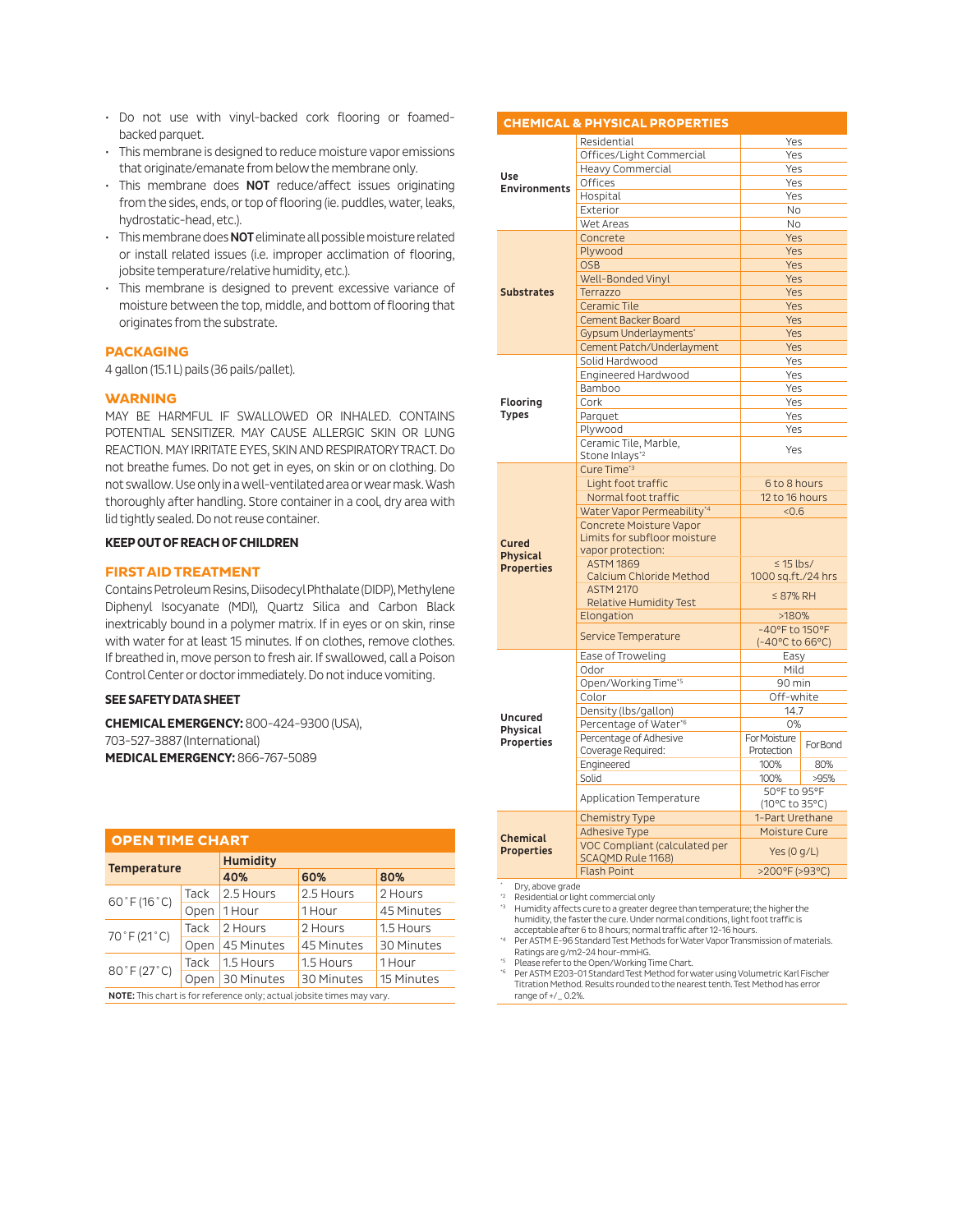- Do not use with vinyl-backed cork flooring or foamedbacked parquet.
- This membrane is designed to reduce moisture vapor emissions that originate/emanate from below the membrane only.
- This membrane does **NOT** reduce/affect issues originating from the sides, ends, or top of flooring (ie. puddles, water, leaks, hydrostatic-head, etc.).
- This membrane does NOT eliminate all possible moisture related or install related issues (i.e. improper acclimation of flooring, jobsite temperature/relative humidity, etc.).
- This membrane is designed to prevent excessive variance of moisture between the top, middle, and bottom of flooring that originates from the substrate.

## **PACKAGING**

4 gallon (15.1 L) pails (36 pails/pallet).

#### **WARNING**

MAY BE HARMFUL IF SWALLOWED OR INHALED. CONTAINS POTENTIAL SENSITIZER. MAY CAUSE ALLERGIC SKIN OR LUNG REACTION. MAY IRRITATE EYES, SKIN AND RESPIRATORY TRACT. Do not breathe fumes. Do not get in eyes, on skin or on clothing. Do not swallow. Use only in a well-ventilated area or wear mask. Wash thoroughly after handling. Store container in a cool, dry area with lid tightly sealed. Do not reuse container.

#### **KEEP OUT OF REACH OF CHILDREN**

## **FIRST AID TREATMENT**

Contains Petroleum Resins, Diisodecyl Phthalate (DIDP), Methylene Diphenyl Isocyanate (MDI), Quartz Silica and Carbon Black inextricably bound in a polymer matrix. If in eyes or on skin, rinse with water for at least 15 minutes. If on clothes, remove clothes. If breathed in, move person to fresh air. If swallowed, call a Poison Control Center or doctor immediately. Do not induce vomiting.

#### **SEE SAFETY DATA SHEET**

**CHEMICAL EMERGENCY:** 800-424-9300 (USA), 703-527-3887 (International) **MEDICAL EMERGENCY:** 866-767-5089

| <b>OPEN TIME CHART</b>                                                 |      |                 |                                    |            |  |  |  |
|------------------------------------------------------------------------|------|-----------------|------------------------------------|------------|--|--|--|
| <b>Temperature</b>                                                     |      | <b>Humidity</b> |                                    |            |  |  |  |
|                                                                        |      | 40%             | 60%<br>80%<br>2.5 Hours<br>2 Hours |            |  |  |  |
| $60°$ F (16°C)                                                         | Tack | 2.5 Hours       |                                    |            |  |  |  |
|                                                                        | Open | 1 Hour          | 1 Hour                             | 45 Minutes |  |  |  |
| 70°F (21°C)                                                            | Tack | 2 Hours         | 2 Hours                            | 1.5 Hours  |  |  |  |
|                                                                        | Open | 45 Minutes      | 45 Minutes                         | 30 Minutes |  |  |  |
| 80°F (27°C)                                                            | Tack | 1.5 Hours       | 1.5 Hours                          | 1 Hour     |  |  |  |
|                                                                        | Open | 30 Minutes      | 30 Minutes                         | 15 Minutes |  |  |  |
| NOTE: This chart is for reference only; actual jobsite times may vary. |      |                 |                                    |            |  |  |  |

|                                                      | <b>CHEMICAL &amp; PHYSICAL PROPERTIES</b>   |                                      |          |  |
|------------------------------------------------------|---------------------------------------------|--------------------------------------|----------|--|
| Use<br><b>Environments</b>                           | Residential                                 | Yes                                  |          |  |
|                                                      | Offices/Light Commercial                    | Yes                                  |          |  |
|                                                      | Heavy Commercial                            | Yes                                  |          |  |
|                                                      | Offices                                     | Yes                                  |          |  |
|                                                      | Hospital                                    | Yes                                  |          |  |
|                                                      | Exterior                                    | <b>No</b>                            |          |  |
|                                                      | Wet Areas                                   | <b>No</b>                            |          |  |
| <b>Substrates</b>                                    | Concrete                                    | Yes                                  |          |  |
|                                                      | Plywood                                     |                                      | Yes      |  |
|                                                      | <b>OSB</b>                                  | Yes                                  |          |  |
|                                                      | Well-Bonded Vinyl                           | Yes                                  |          |  |
|                                                      | Terrazzo                                    | Yes                                  |          |  |
|                                                      | Ceramic Tile                                | Yes                                  |          |  |
|                                                      | <b>Cement Backer Board</b>                  | Yes                                  |          |  |
|                                                      | <b>Gypsum Underlayments'</b>                | Yes                                  |          |  |
|                                                      | Cement Patch/Underlayment                   | Yes                                  |          |  |
|                                                      | Solid Hardwood                              | Yes                                  |          |  |
|                                                      | Engineered Hardwood                         | Yes                                  |          |  |
| Flooring<br><b>Types</b>                             | Bamboo                                      | Yes                                  |          |  |
|                                                      | Cork                                        | Yes                                  |          |  |
|                                                      | Parquet                                     | Yes                                  |          |  |
|                                                      | Plywood                                     | Yes                                  |          |  |
|                                                      | Ceramic Tile, Marble,                       | Yes                                  |          |  |
|                                                      | Stone Inlays* <sup>2</sup>                  |                                      |          |  |
|                                                      | Cure Time* <sup>3</sup>                     |                                      |          |  |
|                                                      | Light foot traffic                          | 6 to 8 hours                         |          |  |
|                                                      | Normal foot traffic                         | 12 to 16 hours                       |          |  |
|                                                      | Water Vapor Permeability*4                  | < 0.6                                |          |  |
|                                                      | Concrete Moisture Vapor                     |                                      |          |  |
| <b>Cured</b><br><b>Physical</b><br><b>Properties</b> | Limits for subfloor moisture                |                                      |          |  |
|                                                      | vapor protection:                           |                                      |          |  |
|                                                      | <b>ASTM 1869</b><br>Calcium Chloride Method | $\leq$ 15 lbs/                       |          |  |
|                                                      | <b>ASTM 2170</b>                            | 1000 sq.ft./24 hrs                   |          |  |
|                                                      | <b>Relative Humidity Test</b>               | $\leq 87\%$ RH                       |          |  |
|                                                      | Elongation                                  | >180%                                |          |  |
|                                                      |                                             | -40°F to 150°F                       |          |  |
|                                                      | Service Temperature                         | $(-40^{\circ}$ C to 66 $^{\circ}$ C) |          |  |
|                                                      | Ease of Troweling                           | Easy                                 |          |  |
|                                                      | Odor                                        | Mild                                 |          |  |
| <b>Uncured</b><br><b>Physical</b><br>Properties      | Open/Working Time*5                         | 90 min                               |          |  |
|                                                      | Color                                       | Off-white                            |          |  |
|                                                      | Density (lbs/gallon)                        | 14.7                                 |          |  |
|                                                      | Percentage of Water*6                       | O%                                   |          |  |
|                                                      | Percentage of Adhesive                      | For Moisture                         |          |  |
|                                                      | Coverage Required:                          | Protection                           | For Bond |  |
|                                                      | Engineered                                  | 100%                                 | 80%      |  |
|                                                      | Solid                                       | 100%                                 | >95%     |  |
|                                                      |                                             | 50°F to 95°F                         |          |  |
|                                                      | Application Temperature                     | (10°C to 35°C)                       |          |  |
|                                                      | <b>Chemistry Type</b>                       | 1-Part Urethane                      |          |  |
| Chemical                                             | <b>Adhesive Type</b>                        | Moisture Cure                        |          |  |
| <b>Properties</b>                                    | VOC Compliant (calculated per               | Yes (0 g/L)                          |          |  |
|                                                      | <b>SCAOMD Rule 1168)</b>                    |                                      |          |  |
|                                                      | <b>Flash Point</b>                          | >200°F (>93°C)                       |          |  |

\* Dry, above grade

\*2 Residential or light commercial only \*3 Humidity affects cure to a greater degree than temperature; the higher the humidity, the faster the cure. Under normal conditions, light foot traffic is

acceptable after 6 to 8 hours; normal traffic after 12-16 hours. Per ASTM E-96 Standard Test Methods for Water Vapor Transmission of materials. Ratings are g/m2-24 hour-mmHG.

\*5 Please refer to the Open/Working Time Chart.

\*6 Per ASTM E203-01 Standard Test Method for water using Volumetric Karl Fischer Titration Method. Results rounded to the nearest tenth. Test Method has error range of +/\_ 0.2%.